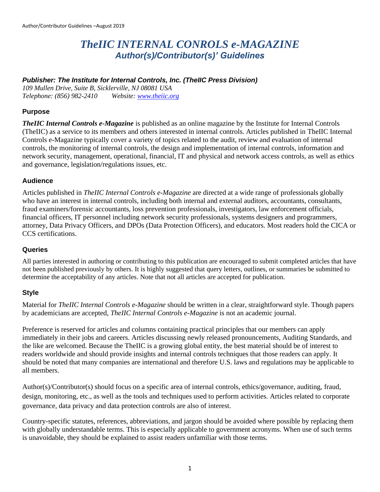# *TheIIC INTERNAL CONROLS e-MAGAZINE Author(s)/Contributor(s)' Guidelines*

# *Publisher: The Institute for Internal Controls, Inc. (TheIIC Press Division)*

*109 Mullen Drive, Suite B, Sicklerville, NJ 08081 USA Telephone: (856) 982-2410 Website: [www.theiic.org](http://www.theiic.org/)*

# **Purpose**

*TheIIC Internal Controls e-Magazine* is published as an online magazine by the Institute for Internal Controls (TheIIC) as a service to its members and others interested in internal controls. Articles published in TheIIC Internal Controls e-Magazine typically cover a variety of topics related to the audit, review and evaluation of internal controls, the monitoring of internal controls, the design and implementation of internal controls, information and network security, management, operational, financial, IT and physical and network access controls, as well as ethics and governance, legislation/regulations issues, etc.

#### **Audience**

Articles published in *TheIIC Internal Controls e-Magazine* are directed at a wide range of professionals globally who have an interest in internal controls, including both internal and external auditors, accountants, consultants, fraud examiners/forensic accountants, loss prevention professionals, investigators, law enforcement officials, financial officers, IT personnel including network security professionals, systems designers and programmers, attorney, Data Privacy Officers, and DPOs (Data Protection Officers), and educators. Most readers hold the CICA or CCS certifications.

#### **Queries**

All parties interested in authoring or contributing to this publication are encouraged to submit completed articles that have not been published previously by others. It is highly suggested that query letters, outlines, or summaries be submitted to determine the acceptability of any articles. Note that not all articles are accepted for publication.

#### **Style**

Material for *TheIIC Internal Controls e-Magazine* should be written in a clear, straightforward style. Though papers by academicians are accepted, *TheIIC Internal Controls e-Magazine* is not an academic journal.

Preference is reserved for articles and columns containing practical principles that our members can apply immediately in their jobs and careers. Articles discussing newly released pronouncements, Auditing Standards, and the like are welcomed. Because the TheIIC is a growing global entity, the best material should be of interest to readers worldwide and should provide insights and internal controls techniques that those readers can apply. It should be noted that many companies are international and therefore U.S. laws and regulations may be applicable to all members.

Author(s)/Contributor(s) should focus on a specific area of internal controls, ethics/governance, auditing, fraud, design, monitoring, etc., as well as the tools and techniques used to perform activities. Articles related to corporate governance, data privacy and data protection controls are also of interest.

Country-specific statutes, references, abbreviations, and jargon should be avoided where possible by replacing them with globally understandable terms. This is especially applicable to government acronyms. When use of such terms is unavoidable, they should be explained to assist readers unfamiliar with those terms.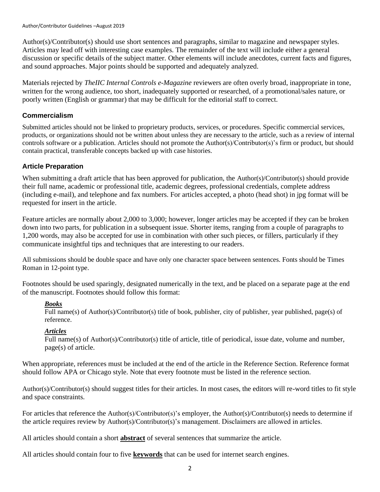Author/Contributor Guidelines –August 2019

Author(s)/Contributor(s) should use short sentences and paragraphs, similar to magazine and newspaper styles. Articles may lead off with interesting case examples. The remainder of the text will include either a general discussion or specific details of the subject matter. Other elements will include anecdotes, current facts and figures, and sound approaches. Major points should be supported and adequately analyzed.

Materials rejected by *TheIIC Internal Controls e-Magazine* reviewers are often overly broad, inappropriate in tone, written for the wrong audience, too short, inadequately supported or researched, of a promotional/sales nature, or poorly written (English or grammar) that may be difficult for the editorial staff to correct.

# **Commercialism**

Submitted articles should not be linked to proprietary products, services, or procedures. Specific commercial services, products, or organizations should not be written about unless they are necessary to the article, such as a review of internal controls software or a publication. Articles should not promote the Author(s)/Contributor(s)'s firm or product, but should contain practical, transferable concepts backed up with case histories.

# **Article Preparation**

When submitting a draft article that has been approved for publication, the Author(s)/Contributor(s) should provide their full name, academic or professional title, academic degrees, professional credentials, complete address (including e-mail), and telephone and fax numbers. For articles accepted, a photo (head shot) in jpg format will be requested for insert in the article.

Feature articles are normally about 2,000 to 3,000; however, longer articles may be accepted if they can be broken down into two parts, for publication in a subsequent issue. Shorter items, ranging from a couple of paragraphs to 1,200 words, may also be accepted for use in combination with other such pieces, or fillers, particularly if they communicate insightful tips and techniques that are interesting to our readers.

All submissions should be double space and have only one character space between sentences. Fonts should be Times Roman in 12-point type.

Footnotes should be used sparingly, designated numerically in the text, and be placed on a separate page at the end of the manuscript. Footnotes should follow this format:

# *Books*

Full name(s) of Author(s)/Contributor(s) title of book, publisher, city of publisher, year published, page(s) of reference.

# *Articles*

Full name(s) of Author(s)/Contributor(s) title of article, title of periodical, issue date, volume and number, page(s) of article.

When appropriate, references must be included at the end of the article in the Reference Section. Reference format should follow APA or Chicago style. Note that every footnote must be listed in the reference section.

Author(s)/Contributor(s) should suggest titles for their articles. In most cases, the editors will re-word titles to fit style and space constraints.

For articles that reference the Author(s)/Contributor(s)'s employer, the Author(s)/Contributor(s) needs to determine if the article requires review by Author(s)/Contributor(s)'s management. Disclaimers are allowed in articles.

All articles should contain a short **abstract** of several sentences that summarize the article.

All articles should contain four to five **keywords** that can be used for internet search engines.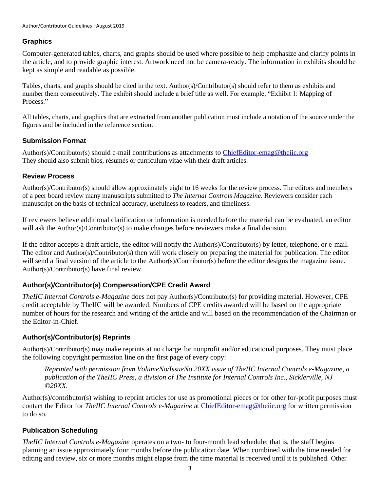# **Graphics**

Computer-generated tables, charts, and graphs should be used where possible to help emphasize and clarify points in the article, and to provide graphic interest. Artwork need not be camera-ready. The information in exhibits should be kept as simple and readable as possible.

Tables, charts, and graphs should be cited in the text. Author(s)/Contributor(s) should refer to them as exhibits and number them consecutively. The exhibit should include a brief title as well. For example, "Exhibit 1: Mapping of Process."

All tables, charts, and graphics that are extracted from another publication must include a notation of the source under the figures and be included in the reference section.

# **Submission Format**

Author(s)/Contributor(s) should e-mail contributions as attachments to [ChiefEditor-emag@theiic.org](mailto:ChiefEditor-emag@theiic.org) They should also submit bios, résumés or curriculum vitae with their draft articles.

# **Review Process**

Author(s)/Contributor(s) should allow approximately eight to 16 weeks for the review process. The editors and members of a peer board review many manuscripts submitted to *The Internal Controls Magazine*. Reviewers consider each manuscript on the basis of technical accuracy, usefulness to readers, and timeliness.

If reviewers believe additional clarification or information is needed before the material can be evaluated, an editor will ask the Author(s)/Contributor(s) to make changes before reviewers make a final decision.

If the editor accepts a draft article, the editor will notify the Author(s)/Contributor(s) by letter, telephone, or e-mail. The editor and Author(s)/Contributor(s) then will work closely on preparing the material for publication. The editor will send a final version of the article to the Author(s)/Contributor(s) before the editor designs the magazine issue. Author(s)/Contributor(s) have final review.

# **Author(s)/Contributor(s) Compensation/CPE Credit Award**

*TheIIC Internal Controls e-Magazine* does not pay Author(s)/Contributor(s) for providing material. However, CPE credit acceptable by TheIIC will be awarded. Numbers of CPE credits awarded will be based on the appropriate number of hours for the research and writing of the article and will based on the recommendation of the Chairman or the Editor-in-Chief.

# **Author(s)/Contributor(s) Reprints**

Author(s)/Contributor(s) may make reprints at no charge for nonprofit and/or educational purposes. They must place the following copyright permission line on the first page of every copy:

*Reprinted with permission from VolumeNo/IssueNo 20XX issue of TheIIC Internal Controls e-Magazine, a publication of the TheIIC Press, a division of The Institute for Internal Controls Inc., Sicklerville, NJ ©20XX.*

Author(s)/contributor(s) wishing to reprint articles for use as promotional pieces or for other for-profit purposes must contact the Editor for *TheIIC Internal Controls e-Magazine* at [ChiefEditor-emag@theiic.org](mailto:ChiefEditor-emag@theiic.org) for written permission to do so.

# **Publication Scheduling**

*TheIIC Internal Controls e-Magazine* operates on a two- to four-month lead schedule; that is, the staff begins planning an issue approximately four months before the publication date. When combined with the time needed for editing and review, six or more months might elapse from the time material is received until it is published. Other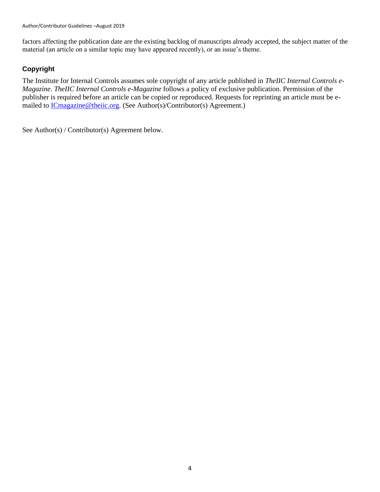factors affecting the publication date are the existing backlog of manuscripts already accepted, the subject matter of the material (an article on a similar topic may have appeared recently), or an issue's theme.

# **Copyright**

The Institute for Internal Controls assumes sole copyright of any article published in *TheIIC Internal Controls e-Magazine*. *TheIIC Internal Controls e-Magazine* follows a policy of exclusive publication. Permission of the publisher is required before an article can be copied or reproduced. Requests for reprinting an article must be emailed to **ICmagazine**@theiic.org. (See Author(s)/Contributor(s) Agreement.)

See Author(s) / Contributor(s) Agreement below.